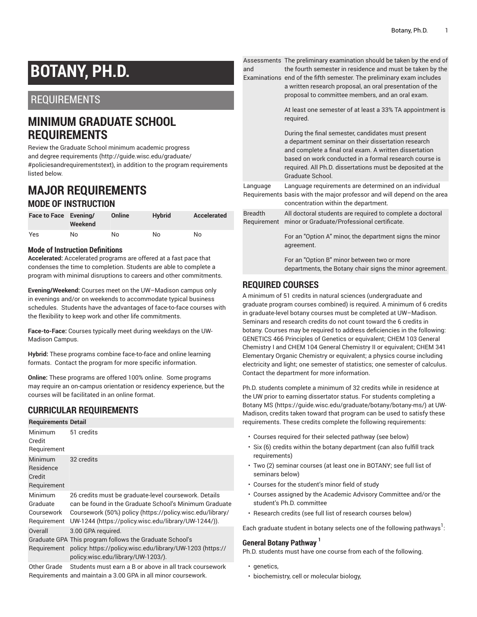# **BOTANY, PH.D.**

# REQUIREMENTS

# **MINIMUM GRADUATE SCHOOL REQUIREMENTS**

Review the Graduate School minimum [academic](http://guide.wisc.edu/graduate/#policiesandrequirementstext) progress and degree [requirements](http://guide.wisc.edu/graduate/#policiesandrequirementstext) [\(http://guide.wisc.edu/graduate/](http://guide.wisc.edu/graduate/#policiesandrequirementstext) [#policiesandrequirementstext\)](http://guide.wisc.edu/graduate/#policiesandrequirementstext), in addition to the program requirements listed below.

# **MAJOR REQUIREMENTS MODE OF INSTRUCTION**

| Face to Face Evening/ | Weekend | Online | <b>Hybrid</b> | Accelerated |
|-----------------------|---------|--------|---------------|-------------|
| Yes                   | No      | No     | No            | No          |

#### **Mode of Instruction Definitions**

**Accelerated:** Accelerated programs are offered at a fast pace that condenses the time to completion. Students are able to complete a program with minimal disruptions to careers and other commitments.

**Evening/Weekend:** Courses meet on the UW–Madison campus only in evenings and/or on weekends to accommodate typical business schedules. Students have the advantages of face-to-face courses with the flexibility to keep work and other life commitments.

**Face-to-Face:** Courses typically meet during weekdays on the UW-Madison Campus.

**Hybrid:** These programs combine face-to-face and online learning formats. Contact the program for more specific information.

**Online:** These programs are offered 100% online. Some programs may require an on-campus orientation or residency experience, but the courses will be facilitated in an online format.

# **CURRICULAR REQUIREMENTS**

| <b>Requirements Detail</b>                       |                                                                                                                                                                                                                                      |
|--------------------------------------------------|--------------------------------------------------------------------------------------------------------------------------------------------------------------------------------------------------------------------------------------|
| <b>Minimum</b><br>Credit<br>Requirement          | 51 credits                                                                                                                                                                                                                           |
| Minimum<br>Residence<br>Credit<br>Requirement    | 32 credits                                                                                                                                                                                                                           |
| Minimum<br>Graduate<br>Coursework<br>Requirement | 26 credits must be graduate-level coursework. Details<br>can be found in the Graduate School's Minimum Graduate<br>Coursework (50%) policy (https://policy.wisc.edu/library/<br>UW-1244 (https://policy.wisc.edu/library/UW-1244/)). |
| Overall<br>Requirement                           | 3.00 GPA required.<br>Graduate GPA This program follows the Graduate School's<br>policy. https://policy.wisc.edu/library/UW-1203 (https://<br>policy.wisc.edu/library/UW-1203/).                                                     |

Other Grade Students must earn a B or above in all track coursework Requirements and maintain a 3.00 GPA in all minor coursework.

Assessments The preliminary examination should be taken by the end of and the fourth semester in residence and must be taken by the

Examinations end of the fifth semester. The preliminary exam includes a written research proposal, an oral presentation of the proposal to committee members, and an oral exam.

> At least one semester of at least a 33% TA appointment is required.

During the final semester, candidates must present a department seminar on their dissertation research and complete a final oral exam. A written dissertation based on work conducted in a formal research course is required. All Ph.D. dissertations must be deposited at the Graduate School.

| Language       | Language requirements are determined on an individual                   |
|----------------|-------------------------------------------------------------------------|
|                | Requirements basis with the major professor and will depend on the area |
|                | concentration within the department.                                    |
| <b>Breadth</b> | All doctoral students are required to complete a doctoral               |
|                | Requirement minor or Graduate/Professional certificate.                 |
|                |                                                                         |

For an "Option A" minor, the department signs the minor agreement.

For an "Option B" minor between two or more departments, the Botany chair signs the minor agreement.

# **REQUIRED COURSES**

A minimum of 51 credits in natural sciences (undergraduate and graduate program courses combined) is required. A minimum of 6 credits in graduate-level botany courses must be completed at UW–Madison. Seminars and research credits do not count toward the 6 credits in botany. Courses may be required to address deficiencies in the following: GENETICS 466 Principles of Genetics or equivalent; CHEM 103 General Chemistry I and CHEM 104 General Chemistry II or equivalent; CHEM 341 Elementary Organic Chemistry or equivalent; a physics course including electricity and light; one semester of statistics; one semester of calculus. Contact the department for more information.

Ph.D. students complete a minimum of 32 credits while in residence at the UW prior to earning dissertator status. For students completing a [Botany MS \(https://guide.wisc.edu/graduate/botany/botany-ms/](https://guide.wisc.edu/graduate/botany/botany-ms/)) at UW-Madison, credits taken toward that program can be used to satisfy these requirements. These credits complete the following requirements:

- Courses required for their selected pathway (see below)
- Six (6) credits within the botany department (can also fulfill track requirements)
- Two (2) seminar courses (at least one in BOTANY; see full list of seminars below)
- Courses for the student's minor field of study
- Courses assigned by the Academic Advisory Committee and/or the student's Ph.D. committee
- Research credits (see full list of research courses below)

Each graduate student in botany selects one of the following pathways $^{\rm l}$ :

## **General Botany Pathway 1**

Ph.D. students must have one course from each of the following.

- genetics.
- biochemistry, cell or molecular biology,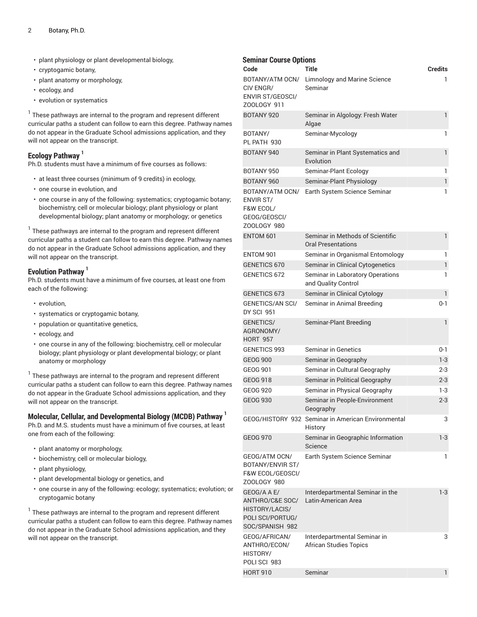- plant physiology or plant developmental biology,
- cryptogamic botany,
- plant anatomy or morphology,
- ecology, and
- evolution or systematics

 $^{\rm 1}$  These pathways are internal to the program and represent different curricular paths a student can follow to earn this degree. Pathway names do not appear in the Graduate School admissions application, and they will not appear on the transcript.

## **Ecology Pathway 1**

Ph.D. students must have a minimum of five courses as follows:

- at least three courses (minimum of 9 credits) in ecology,
- one course in evolution, and
- one course in any of the following: systematics; cryptogamic botany; biochemistry, cell or molecular biology; plant physiology or plant developmental biology; plant anatomy or morphology; or genetics

 $^{\rm 1}$  These pathways are internal to the program and represent different curricular paths a student can follow to earn this degree. Pathway names do not appear in the Graduate School admissions application, and they will not appear on the transcript.

## **Evolution Pathway 1**

Ph.D. students must have a minimum of five courses, at least one from each of the following:

- evolution,
- systematics or cryptogamic botany,
- population or quantitative genetics,
- ecology, and
- one course in any of the following: biochemistry, cell or molecular biology; plant physiology or plant developmental biology; or plant anatomy or morphology

 $^{\rm 1}$  These pathways are internal to the program and represent different curricular paths a student can follow to earn this degree. Pathway names do not appear in the Graduate School admissions application, and they will not appear on the transcript.

## **Molecular, Cellular, and Developmental Biology (MCDB) Pathway 1**

Ph.D. and M.S. students must have a minimum of five courses, at least one from each of the following:

- plant anatomy or morphology,
- biochemistry, cell or molecular biology,
- plant physiology,
- plant developmental biology or genetics, and
- one course in any of the following: ecology; systematics; evolution; or cryptogamic botany

 $^{\rm 1}$  These pathways are internal to the program and represent different curricular paths a student can follow to earn this degree. Pathway names do not appear in the Graduate School admissions application, and they will not appear on the transcript.

| <b>Seminar Course Options</b><br>Code                                                   | Title                                                         | <b>Credits</b> |
|-----------------------------------------------------------------------------------------|---------------------------------------------------------------|----------------|
| BOTANY/ATM OCN/<br>CIV ENGR/<br><b>ENVIR ST/GEOSCI/</b><br>ZOOLOGY 911                  | Limnology and Marine Science<br>Seminar                       | 1              |
| BOTANY 920                                                                              | Seminar in Algology: Fresh Water<br>Algae                     | 1              |
| BOTANY/<br>PL PATH 930                                                                  | Seminar-Mycology                                              | 1              |
| BOTANY 940                                                                              | Seminar in Plant Systematics and<br>Evolution                 | 1              |
| BOTANY 950                                                                              | Seminar-Plant Ecology                                         | 1              |
| BOTANY 960                                                                              | Seminar-Plant Physiology                                      | 1              |
| BOTANY/ATM OCN/<br><b>ENVIR ST/</b><br>F&W ECOL/<br>GEOG/GEOSCI/<br>ZOOLOGY 980         | Earth System Science Seminar                                  | 1              |
| ENTOM 601                                                                               | Seminar in Methods of Scientific<br><b>Oral Presentations</b> | 1              |
| ENTOM 901                                                                               | Seminar in Organismal Entomology                              | 1              |
| <b>GENETICS 670</b>                                                                     | Seminar in Clinical Cytogenetics                              | 1              |
| GENETICS 672                                                                            | Seminar in Laboratory Operations<br>and Quality Control       | 1              |
| <b>GENETICS 673</b>                                                                     | Seminar in Clinical Cytology                                  | 1              |
| <b>GENETICS/AN SCI/</b><br><b>DY SCI 951</b>                                            | Seminar in Animal Breeding                                    | $0 - 1$        |
| <b>GENETICS/</b><br>AGRONOMY/<br><b>HORT 957</b>                                        | Seminar-Plant Breeding                                        | 1              |
| <b>GENETICS 993</b>                                                                     | Seminar in Genetics                                           | 0-1            |
| <b>GEOG 900</b>                                                                         | Seminar in Geography                                          | $1-3$          |
| GEOG 901                                                                                | Seminar in Cultural Geography                                 | $2 - 3$        |
| <b>GEOG 918</b>                                                                         | Seminar in Political Geography                                | $2 - 3$        |
| <b>GEOG 920</b>                                                                         | Seminar in Physical Geography                                 | 1-3            |
| <b>GEOG 930</b>                                                                         | Seminar in People-Environment<br>Geography                    | $2 - 3$        |
|                                                                                         | GEOG/HISTORY 932 Seminar in American Environmental<br>History | 3              |
| <b>GEOG 970</b>                                                                         | Seminar in Geographic Information<br>Science                  | $1-3$          |
| GEOG/ATM OCN/<br>BOTANY/ENVIR ST/<br><b>F&amp;W ECOL/GEOSCI/</b><br>ZOOLOGY 980         | Earth System Science Seminar                                  | 1              |
| GEOG/A A E/<br>ANTHRO/C&E SOC/<br>HISTORY/LACIS/<br>POLI SCI/PORTUG/<br>SOC/SPANISH 982 | Interdepartmental Seminar in the<br>Latin-American Area       | 1-3            |
| GEOG/AFRICAN/<br>ANTHRO/ECON/<br>HISTORY/<br>POLI SCI 983                               | Interdepartmental Seminar in<br><b>African Studies Topics</b> | 3              |
| <b>HORT 910</b>                                                                         | Seminar                                                       | 1              |